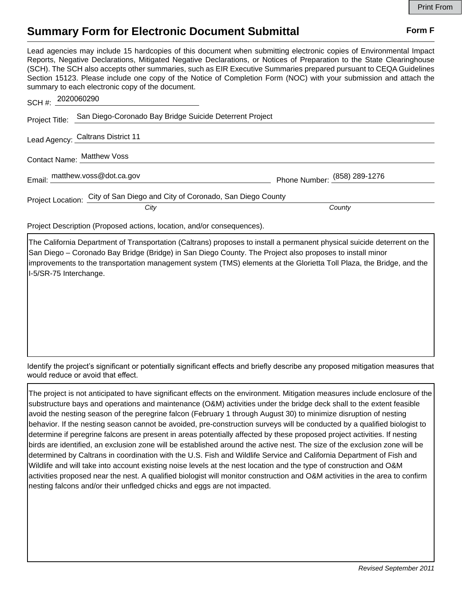## **Summary Form for Electronic Document Submittal Form F Form F**

Lead agencies may include 15 hardcopies of this document when submitting electronic copies of Environmental Impact Reports, Negative Declarations, Mitigated Negative Declarations, or Notices of Preparation to the State Clearinghouse (SCH). The SCH also accepts other summaries, such as EIR Executive Summaries prepared pursuant to CEQA Guidelines Section 15123. Please include one copy of the Notice of Completion Form (NOC) with your submission and attach the summary to each electronic copy of the document.

| SCH #: 2020060290                                                          |                                                                        |                              |
|----------------------------------------------------------------------------|------------------------------------------------------------------------|------------------------------|
|                                                                            | Project Title: San Diego-Coronado Bay Bridge Suicide Deterrent Project |                              |
|                                                                            | Lead Agency: Caltrans District 11                                      |                              |
|                                                                            | Contact Name: Matthew Voss                                             |                              |
|                                                                            | Email: matthew.voss@dot.ca.gov                                         | Phone Number: (858) 289-1276 |
| Project Location: City of San Diego and City of Coronado, San Diego County |                                                                        |                              |
|                                                                            | City                                                                   | County                       |

Project Description (Proposed actions, location, and/or consequences).

The California Department of Transportation (Caltrans) proposes to install a permanent physical suicide deterrent on the San Diego – Coronado Bay Bridge (Bridge) in San Diego County. The Project also proposes to install minor improvements to the transportation management system (TMS) elements at the Glorietta Toll Plaza, the Bridge, and the I-5/SR-75 Interchange.

Identify the project's significant or potentially significant effects and briefly describe any proposed mitigation measures that would reduce or avoid that effect.

The project is not anticipated to have significant effects on the environment. Mitigation measures include enclosure of the substructure bays and operations and maintenance (O&M) activities under the bridge deck shall to the extent feasible avoid the nesting season of the peregrine falcon (February 1 through August 30) to minimize disruption of nesting behavior. If the nesting season cannot be avoided, pre-construction surveys will be conducted by a qualified biologist to determine if peregrine falcons are present in areas potentially affected by these proposed project activities. If nesting birds are identified, an exclusion zone will be established around the active nest. The size of the exclusion zone will be determined by Caltrans in coordination with the U.S. Fish and Wildlife Service and California Department of Fish and Wildlife and will take into account existing noise levels at the nest location and the type of construction and O&M activities proposed near the nest. A qualified biologist will monitor construction and O&M activities in the area to confirm nesting falcons and/or their unfledged chicks and eggs are not impacted.